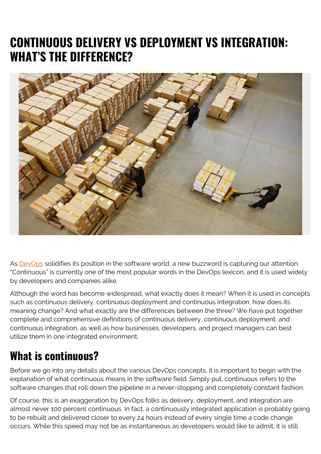# **CONTINUOUS DELIVERY VS DEPLOYMENT VS INTEGRATION: WHAT'S THE DIFFERENCE?**



As **[DevOps](https://blogs.bmc.com/blogs/devops-basics-introduction/)** solidifies its position in the software world, a new buzzword is capturing our attention. "Continuous" is currently one of the most popular words in the DevOps lexicon, and it is used widely by developers and companies alike.

Although the word has become widespread, what exactly does it mean? When it is used in concepts such as continuous delivery, continuous deployment and continuous integration, how does its meaning change? And what exactly are the differences between the three? We have put together complete and comprehensive definitions of continuous delivery, continuous deployment, and continuous integration, as well as how businesses, developers, and project managers can best utilize them in one integrated environment.

### **What is continuous?**

Before we go into any details about the various DevOps concepts, it is important to begin with the explanation of what continuous means in the software field. Simply put, continuous refers to the software changes that roll down the pipeline in a never-stopping and completely constant fashion.

Of course, this is an exaggeration by DevOps folks as delivery, deployment, and integration are almost never 100 percent continuous. In fact, a continuously integrated application is probably going to be rebuilt and delivered closer to every 24 hours instead of every single time a code change occurs. While this speed may not be as instantaneous as developers would like to admit, it is still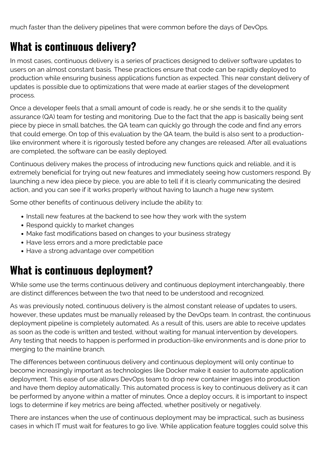much faster than the delivery pipelines that were common before the days of DevOps.

### **What is continuous delivery?**

In most cases, continuous delivery is a series of practices designed to deliver software updates to users on an almost constant basis. These practices ensure that code can be rapidly deployed to production while ensuring business applications function as expected. This near constant delivery of updates is possible due to optimizations that were made at earlier stages of the development process.

Once a developer feels that a small amount of code is ready, he or she sends it to the quality assurance (QA) team for testing and monitoring. Due to the fact that the app is basically being sent piece by piece in small batches, the QA team can quickly go through the code and find any errors that could emerge. On top of this evaluation by the QA team, the build is also sent to a productionlike environment where it is rigorously tested before any changes are released. After all evaluations are completed, the software can be easily deployed.

Continuous delivery makes the process of introducing new functions quick and reliable, and it is extremely beneficial for trying out new features and immediately seeing how customers respond. By launching a new idea piece by piece, you are able to tell if it is clearly communicating the desired action, and you can see if it works properly without having to launch a huge new system.

Some other benefits of continuous delivery include the ability to:

- Install new features at the backend to see how they work with the system
- Respond quickly to market changes
- Make fast modifications based on changes to your business strategy
- Have less errors and a more predictable pace
- Have a strong advantage over competition

### **What is continuous deployment?**

While some use the terms continuous delivery and continuous deployment interchangeably, there are distinct differences between the two that need to be understood and recognized.

As was previously noted, continuous delivery is the almost constant release of updates to users, however, these updates must be manually released by the DevOps team. In contrast, the continuous deployment pipeline is completely automated. As a result of this, users are able to receive updates as soon as the code is written and tested, without waiting for manual intervention by developers. Any testing that needs to happen is performed in production-like environments and is done prior to merging to the mainline branch.

The differences between continuous delivery and continuous deployment will only continue to become increasingly important as technologies like Docker make it easier to automate application deployment. This ease of use allows DevOps team to drop new container images into production and have them deploy automatically. This automated process is key to continuous delivery as it can be performed by anyone within a matter of minutes. Once a deploy occurs, it is important to inspect logs to determine if key metrics are being affected, whether positively or negatively.

There are instances when the use of continuous deployment may be impractical, such as business cases in which IT must wait for features to go live. While application feature toggles could solve this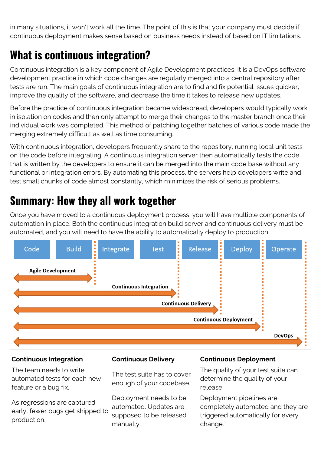in many situations, it won't work all the time. The point of this is that your company must decide if continuous deployment makes sense based on business needs instead of based on IT limitations.

# **What is continuous integration?**

Continuous integration is a key component of Agile Development practices. It is a DevOps software development practice in which code changes are regularly merged into a central repository after tests are run. The main goals of continuous integration are to find and fix potential issues quicker, improve the quality of the software, and decrease the time it takes to release new updates.

Before the practice of continuous integration became widespread, developers would typically work in isolation on codes and then only attempt to merge their changes to the master branch once their individual work was completed. This method of patching together batches of various code made the merging extremely difficult as well as time consuming.

With continuous integration, developers frequently share to the repository, running local unit tests on the code before integrating. A continuous integration server then automatically tests the code that is written by the developers to ensure it can be merged into the main code base without any functional or integration errors. By automating this process, the servers help developers write and test small chunks of code almost constantly, which minimizes the risk of serious problems.

# **Summary: How they all work together**

Once you have moved to a continuous deployment process, you will have multiple components of automation in place. Both the continuous integration build server and continuous delivery must be automated, and you will need to have the ability to automatically deploy to production.



The team needs to write automated tests for each new feature or a bug fix.

As regressions are captured early, fewer bugs get shipped to production.

The test suite has to cover enough of your codebase.

Deployment needs to be automated. Updates are supposed to be released manually.

#### **Continuous Integration Continuous Delivery Continuous Deployment**

The quality of your test suite can determine the quality of your release.

Deployment pipelines are completely automated and they are triggered automatically for every change.